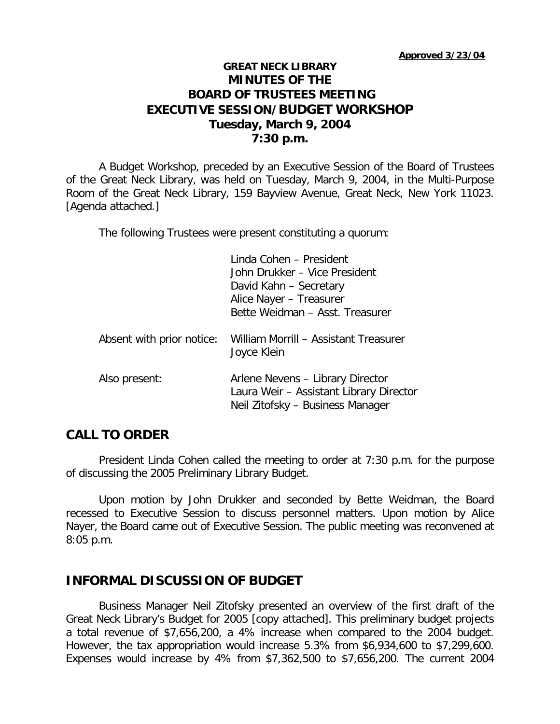### **GREAT NECK LIBRARY MINUTES OF THE BOARD OF TRUSTEES MEETING EXECUTIVE SESSION/BUDGET WORKSHOP Tuesday, March 9, 2004 7:30 p.m.**

A Budget Workshop, preceded by an Executive Session of the Board of Trustees of the Great Neck Library, was held on Tuesday, March 9, 2004, in the Multi-Purpose Room of the Great Neck Library, 159 Bayview Avenue, Great Neck, New York 11023. [Agenda attached.]

The following Trustees were present constituting a quorum:

|                           | Linda Cohen - President<br>John Drukker - Vice President<br>David Kahn - Secretary<br>Alice Nayer - Treasurer<br>Bette Weidman - Asst. Treasurer |
|---------------------------|--------------------------------------------------------------------------------------------------------------------------------------------------|
| Absent with prior notice: | William Morrill - Assistant Treasurer<br>Joyce Klein                                                                                             |
| Also present:             | Arlene Nevens - Library Director<br>Laura Weir - Assistant Library Director<br>Neil Zitofsky - Business Manager                                  |

# **CALL TO ORDER**

President Linda Cohen called the meeting to order at 7:30 p.m. for the purpose of discussing the 2005 Preliminary Library Budget.

Upon motion by John Drukker and seconded by Bette Weidman, the Board recessed to Executive Session to discuss personnel matters. Upon motion by Alice Nayer, the Board came out of Executive Session. The public meeting was reconvened at 8:05 p.m.

#### **INFORMAL DISCUSSION OF BUDGET**

Business Manager Neil Zitofsky presented an overview of the first draft of the Great Neck Library's Budget for 2005 [copy attached]. This preliminary budget projects a total revenue of \$7,656,200, a 4% increase when compared to the 2004 budget. However, the tax appropriation would increase 5.3% from \$6,934,600 to \$7,299,600. Expenses would increase by 4% from \$7,362,500 to \$7,656,200. The current 2004